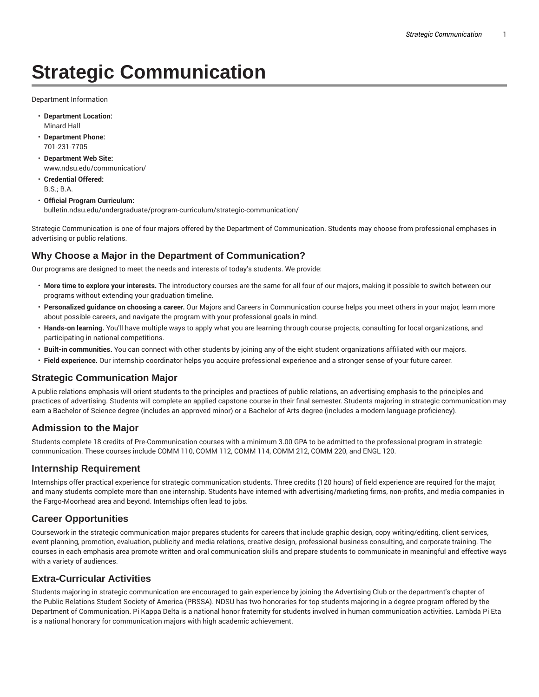# **Strategic Communication**

Department Information

- **Department Location:** Minard Hall
- **Department Phone:** 701-231-7705
- **Department Web Site:** www.ndsu.edu/communication/
- **Credential Offered:** B.S.; B.A.
- **Official Program Curriculum:** bulletin.ndsu.edu/undergraduate/program-curriculum/strategic-communication/

Strategic Communication is one of four majors offered by the Department of Communication. Students may choose from professional emphases in advertising or public relations.

## **Why Choose a Major in the Department of Communication?**

Our programs are designed to meet the needs and interests of today's students. We provide:

- **More time to explore your interests.** The introductory courses are the same for all four of our majors, making it possible to switch between our programs without extending your graduation timeline.
- **Personalized guidance on choosing a career.** Our Majors and Careers in Communication course helps you meet others in your major, learn more about possible careers, and navigate the program with your professional goals in mind.
- **Hands-on learning.** You'll have multiple ways to apply what you are learning through course projects, consulting for local organizations, and participating in national competitions.
- **Built-in communities.** You can connect with other students by joining any of the eight student organizations affiliated with our majors.
- **Field experience.** Our internship coordinator helps you acquire professional experience and a stronger sense of your future career.

#### **Strategic Communication Major**

A public relations emphasis will orient students to the principles and practices of public relations, an advertising emphasis to the principles and practices of advertising. Students will complete an applied capstone course in their final semester. Students majoring in strategic communication may earn a Bachelor of Science degree (includes an approved minor) or a Bachelor of Arts degree (includes a modern language proficiency).

## **Admission to the Major**

Students complete 18 credits of Pre-Communication courses with a minimum 3.00 GPA to be admitted to the professional program in strategic communication. These courses include COMM 110, COMM 112, COMM 114, COMM 212, COMM 220, and ENGL 120.

#### **Internship Requirement**

Internships offer practical experience for strategic communication students. Three credits (120 hours) of field experience are required for the major, and many students complete more than one internship. Students have interned with advertising/marketing firms, non-profits, and media companies in the Fargo-Moorhead area and beyond. Internships often lead to jobs.

## **Career Opportunities**

Coursework in the strategic communication major prepares students for careers that include graphic design, copy writing/editing, client services, event planning, promotion, evaluation, publicity and media relations, creative design, professional business consulting, and corporate training. The courses in each emphasis area promote written and oral communication skills and prepare students to communicate in meaningful and effective ways with a variety of audiences.

## **Extra-Curricular Activities**

Students majoring in strategic communication are encouraged to gain experience by joining the Advertising Club or the department's chapter of the Public Relations Student Society of America (PRSSA). NDSU has two honoraries for top students majoring in a degree program offered by the Department of Communication. Pi Kappa Delta is a national honor fraternity for students involved in human communication activities. Lambda Pi Eta is a national honorary for communication majors with high academic achievement.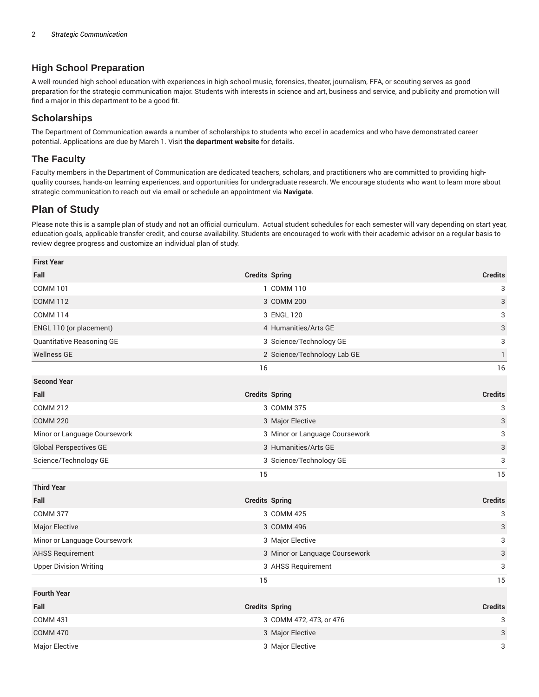## **High School Preparation**

A well-rounded high school education with experiences in high school music, forensics, theater, journalism, FFA, or scouting serves as good preparation for the strategic communication major. Students with interests in science and art, business and service, and publicity and promotion will find a major in this department to be a good fit.

#### **Scholarships**

The Department of Communication awards a number of scholarships to students who excel in academics and who have demonstrated career potential. Applications are due by March 1. Visit **the department website** for details.

#### **The Faculty**

Faculty members in the Department of Communication are dedicated teachers, scholars, and practitioners who are committed to providing highquality courses, hands-on learning experiences, and opportunities for undergraduate research. We encourage students who want to learn more about strategic communication to reach out via email or schedule an appointment via **Navigate**.

## **Plan of Study**

**First Year**

Please note this is a sample plan of study and not an official curriculum. Actual student schedules for each semester will vary depending on start year, education goals, applicable transfer credit, and course availability. Students are encouraged to work with their academic advisor on a regular basis to review degree progress and customize an individual plan of study.

| rırsı rear                         |                       |                                                                             |                |
|------------------------------------|-----------------------|-----------------------------------------------------------------------------|----------------|
| Fall                               | <b>Credits Spring</b> |                                                                             | <b>Credits</b> |
| <b>COMM 101</b>                    |                       | 1 COMM 110                                                                  | 3              |
| <b>COMM 112</b><br><b>COMM 114</b> |                       | 3 COMM 200<br>3 ENGL 120<br>4 Humanities/Arts GE<br>3 Science/Technology GE | 3              |
|                                    |                       |                                                                             | 3              |
| ENGL 110 (or placement)            |                       |                                                                             | 3              |
| Quantitative Reasoning GE          |                       |                                                                             | 3              |
| <b>Wellness GE</b>                 |                       | 2 Science/Technology Lab GE                                                 | 1              |
|                                    | 16                    |                                                                             | 16             |
| <b>Second Year</b>                 |                       |                                                                             |                |
| Fall                               | <b>Credits Spring</b> |                                                                             | <b>Credits</b> |
| <b>COMM 212</b>                    |                       | 3 COMM 375                                                                  | 3              |
| <b>COMM 220</b>                    |                       | 3 Major Elective                                                            | 3              |
| Minor or Language Coursework       |                       | 3 Minor or Language Coursework                                              | 3              |
| <b>Global Perspectives GE</b>      |                       | 3 Humanities/Arts GE                                                        | 3              |
| Science/Technology GE              |                       | 3 Science/Technology GE                                                     | 3              |
|                                    | 15                    |                                                                             | 15             |
| <b>Third Year</b>                  |                       |                                                                             |                |
| Fall                               | <b>Credits Spring</b> |                                                                             | <b>Credits</b> |
| <b>COMM 377</b>                    |                       | 3 COMM 425                                                                  | 3              |
| <b>Major Elective</b>              |                       | 3 COMM 496                                                                  | 3              |
| Minor or Language Coursework       |                       | 3 Major Elective                                                            | 3              |
| <b>AHSS Requirement</b>            |                       | 3 Minor or Language Coursework                                              | 3              |
| <b>Upper Division Writing</b>      |                       | 3 AHSS Requirement                                                          | 3              |
|                                    | 15                    |                                                                             | 15             |
| <b>Fourth Year</b>                 |                       |                                                                             |                |
| Fall                               | <b>Credits Spring</b> |                                                                             | <b>Credits</b> |
| <b>COMM 431</b>                    |                       | 3 COMM 472, 473, or 476                                                     | 3              |
| <b>COMM 470</b>                    |                       | 3 Major Elective                                                            | 3              |
| Major Elective                     |                       | 3 Major Elective                                                            | 3              |